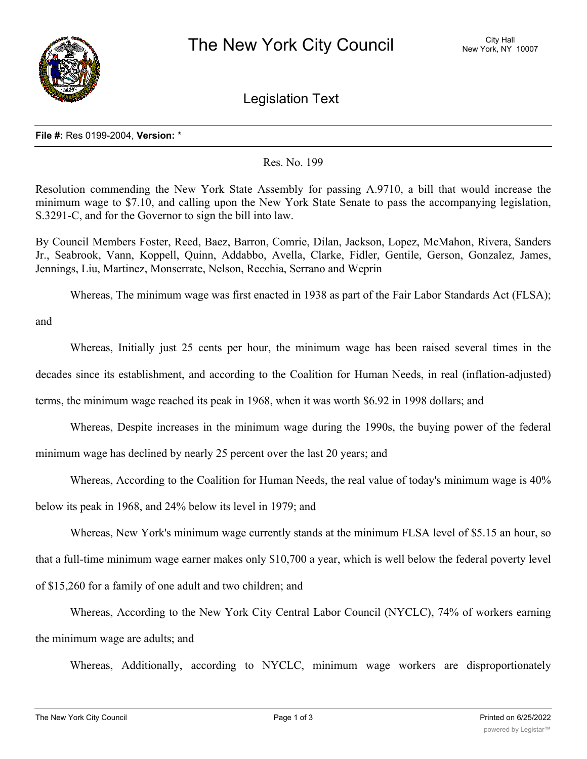

Legislation Text

## **File #:** Res 0199-2004, **Version:** \*

## Res. No. 199

Resolution commending the New York State Assembly for passing A.9710, a bill that would increase the minimum wage to \$7.10, and calling upon the New York State Senate to pass the accompanying legislation, S.3291-C, and for the Governor to sign the bill into law.

By Council Members Foster, Reed, Baez, Barron, Comrie, Dilan, Jackson, Lopez, McMahon, Rivera, Sanders Jr., Seabrook, Vann, Koppell, Quinn, Addabbo, Avella, Clarke, Fidler, Gentile, Gerson, Gonzalez, James, Jennings, Liu, Martinez, Monserrate, Nelson, Recchia, Serrano and Weprin

Whereas, The minimum wage was first enacted in 1938 as part of the Fair Labor Standards Act (FLSA);

and

Whereas, Initially just 25 cents per hour, the minimum wage has been raised several times in the decades since its establishment, and according to the Coalition for Human Needs, in real (inflation-adjusted) terms, the minimum wage reached its peak in 1968, when it was worth \$6.92 in 1998 dollars; and

Whereas, Despite increases in the minimum wage during the 1990s, the buying power of the federal minimum wage has declined by nearly 25 percent over the last 20 years; and

Whereas, According to the Coalition for Human Needs, the real value of today's minimum wage is 40%

below its peak in 1968, and 24% below its level in 1979; and

Whereas, New York's minimum wage currently stands at the minimum FLSA level of \$5.15 an hour, so that a full-time minimum wage earner makes only \$10,700 a year, which is well below the federal poverty level of \$15,260 for a family of one adult and two children; and

Whereas, According to the New York City Central Labor Council (NYCLC), 74% of workers earning the minimum wage are adults; and

Whereas, Additionally, according to NYCLC, minimum wage workers are disproportionately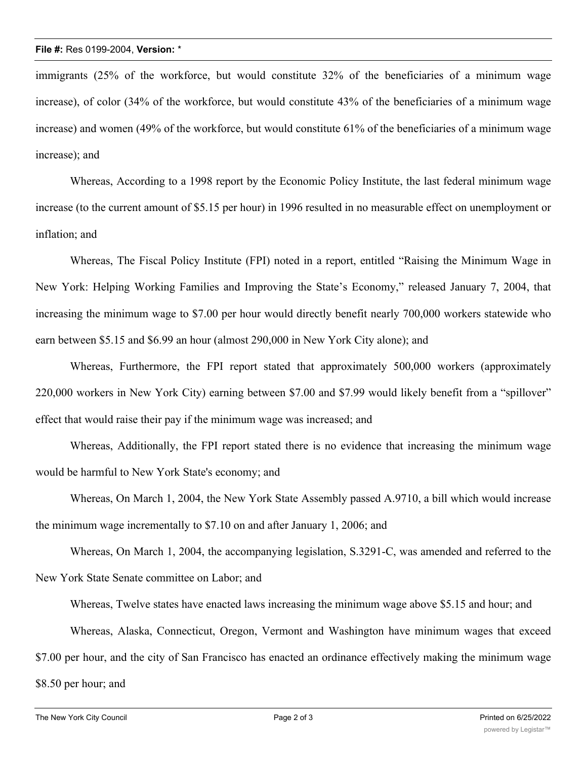immigrants (25% of the workforce, but would constitute 32% of the beneficiaries of a minimum wage increase), of color (34% of the workforce, but would constitute 43% of the beneficiaries of a minimum wage increase) and women (49% of the workforce, but would constitute 61% of the beneficiaries of a minimum wage increase); and

Whereas, According to a 1998 report by the Economic Policy Institute, the last federal minimum wage increase (to the current amount of \$5.15 per hour) in 1996 resulted in no measurable effect on unemployment or inflation; and

Whereas, The Fiscal Policy Institute (FPI) noted in a report, entitled "Raising the Minimum Wage in New York: Helping Working Families and Improving the State's Economy," released January 7, 2004, that increasing the minimum wage to \$7.00 per hour would directly benefit nearly 700,000 workers statewide who earn between \$5.15 and \$6.99 an hour (almost 290,000 in New York City alone); and

Whereas, Furthermore, the FPI report stated that approximately 500,000 workers (approximately 220,000 workers in New York City) earning between \$7.00 and \$7.99 would likely benefit from a "spillover" effect that would raise their pay if the minimum wage was increased; and

Whereas, Additionally, the FPI report stated there is no evidence that increasing the minimum wage would be harmful to New York State's economy; and

Whereas, On March 1, 2004, the New York State Assembly passed A.9710, a bill which would increase the minimum wage incrementally to \$7.10 on and after January 1, 2006; and

Whereas, On March 1, 2004, the accompanying legislation, S.3291-C, was amended and referred to the New York State Senate committee on Labor; and

Whereas, Twelve states have enacted laws increasing the minimum wage above \$5.15 and hour; and

Whereas, Alaska, Connecticut, Oregon, Vermont and Washington have minimum wages that exceed

\$7.00 per hour, and the city of San Francisco has enacted an ordinance effectively making the minimum wage

\$8.50 per hour; and